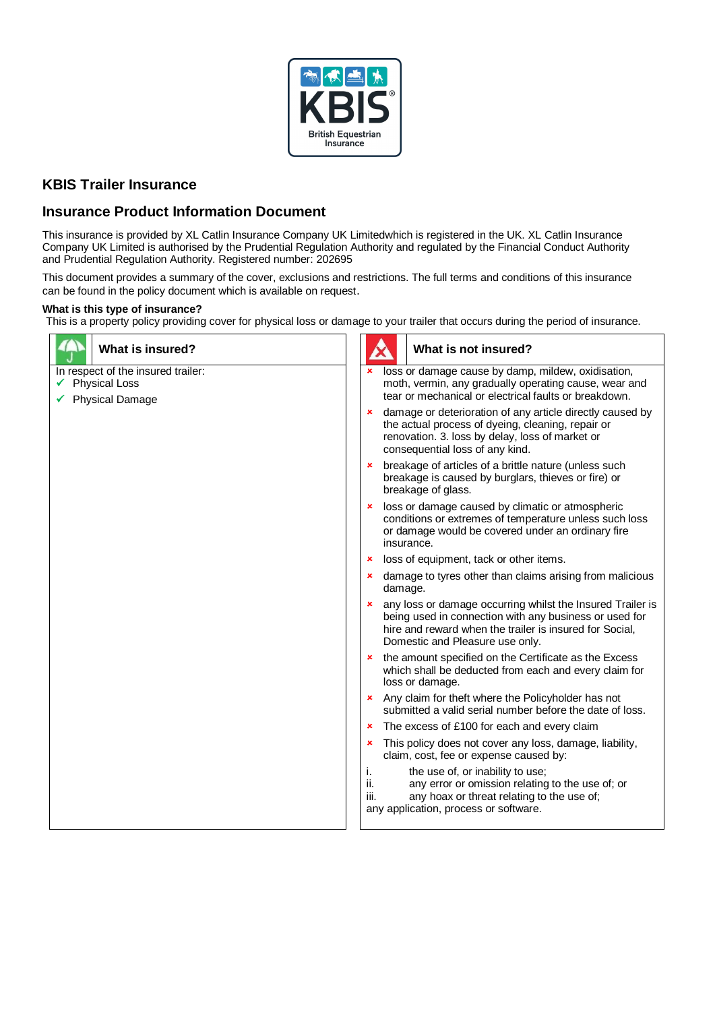

# **KBIS Trailer Insurance**

# **Insurance Product Information Document**

This insurance is provided by XL Catlin Insurance Company UK Limitedwhich is registered in the UK. XL Catlin Insurance Company UK Limited is authorised by the Prudential Regulation Authority and regulated by the Financial Conduct Authority and Prudential Regulation Authority. Registered number: 202695

This document provides a summary of the cover, exclusions and restrictions. The full terms and conditions of this insurance can be found in the policy document which is available on request.

# **What is this type of insurance?**

This is a property policy providing cover for physical loss or damage to your trailer that occurs during the period of insurance.

| <b>What is insured?</b>                                                              | What is not insured?                                                                                                                                                                                                        |
|--------------------------------------------------------------------------------------|-----------------------------------------------------------------------------------------------------------------------------------------------------------------------------------------------------------------------------|
| In respect of the insured trailer:<br><b>Physical Loss</b><br><b>Physical Damage</b> | loss or damage cause by damp, mildew, oxidisation,<br>moth, vermin, any gradually operating cause, wear and<br>tear or mechanical or electrical faults or breakdown.                                                        |
|                                                                                      | damage or deterioration of any article directly caused by<br>$\pmb{\times}$<br>the actual process of dyeing, cleaning, repair or<br>renovation. 3. loss by delay, loss of market or<br>consequential loss of any kind.      |
|                                                                                      | breakage of articles of a brittle nature (unless such<br>$\pmb{\times}$<br>breakage is caused by burglars, thieves or fire) or<br>breakage of glass.                                                                        |
|                                                                                      | loss or damage caused by climatic or atmospheric<br>×<br>conditions or extremes of temperature unless such loss<br>or damage would be covered under an ordinary fire<br>insurance.                                          |
|                                                                                      | loss of equipment, tack or other items.<br>$\pmb{\times}$                                                                                                                                                                   |
|                                                                                      | damage to tyres other than claims arising from malicious<br>$\mathbf{x}$<br>damage.                                                                                                                                         |
|                                                                                      | <b>*</b> any loss or damage occurring whilst the Insured Trailer is<br>being used in connection with any business or used for<br>hire and reward when the trailer is insured for Social,<br>Domestic and Pleasure use only. |
|                                                                                      | * the amount specified on the Certificate as the Excess<br>which shall be deducted from each and every claim for<br>loss or damage.                                                                                         |
|                                                                                      | <b>*</b> Any claim for theft where the Policyholder has not<br>submitted a valid serial number before the date of loss.                                                                                                     |
|                                                                                      | The excess of £100 for each and every claim<br>×                                                                                                                                                                            |
|                                                                                      | This policy does not cover any loss, damage, liability,<br>×<br>claim, cost, fee or expense caused by:                                                                                                                      |
|                                                                                      | the use of, or inability to use;<br>i.<br>ii.<br>any error or omission relating to the use of; or<br>any hoax or threat relating to the use of;<br>iii.<br>any application, process or software.                            |
|                                                                                      |                                                                                                                                                                                                                             |